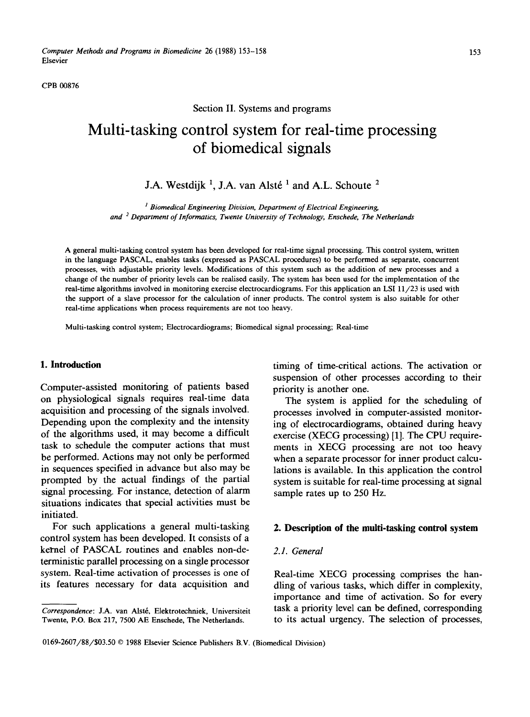CPB 00876

# Section II. Systems and programs

# **Multi-tasking control system for real-time processing of biomedical signals**

# J.A. Westdijk <sup>1</sup>, J.A. van Alsté<sup>1</sup> and A.L. Schoute<sup>2</sup>

<sup>1</sup> Biomedical Engineering Division, Department of Electrical Engineering, *and 2 Department of lnformatics, Twente University of Technology, Enschede, The Netherlands* 

A general multi-tasking control system has been developed for real-time signal processing. This control system, written in the language PASCAL, enables tasks (expressed as PASCAL procedures) to be performed as separate, concurrent processes, with adjustable priority levels. Modifications of this system such as the addition of new processes and a change of the number of priority levels can be realised easily. The system has been used for the implementation of the real-time algorithms involved in monitoring exercise electrocardiograms. For this application an LSI 11/23 is used with the support of a slave processor for the calculation of inner products. The control system is also suitable for other real-time applications when process requirements are not too heavy.

Multi-tasking control system; Electrocardiograms; Biomedical signal processing; Real-time

Computer-assisted monitoring of patients based<br>on physiological signals requires real-time data The system is ann acquisition and processing of the signals involved.<br>
Depending upon the complexity and the intensity in a of electrocardiograms obtained during heavy of the algorithms used, it may become a difficult exercise (XECG processing) [1]. The CPU requiretask to schedule the computer actions that must<br>be performed. Actions may not only be performed<br>when a senarate processor for inner product calcube performed. Actions may not only be performed when a separate processor for inner product calcu-<br>in sequences specified in advance but also may be lations is available. In this application the control in sequences specified in advance but also may be lations is available. In this application the control<br>prompted by the actual findings of the partial system is suitable for real-time processing at signal signal processing. For instance, detection of alarm sample rates up to 250 Hz. situations indicates that special activities must be initiated.

For such applications a general multi-tasking 2. Description of the multi-tasking control system control system has been developed. It consists of a kernel of PASCAL routines and enables non-de- *2.1. General*  terministic parallel processing on a single processor system. Real-time activation of processes is one of Real-time XECG processing comprises the han-

1. Introduction timing of time-critical actions. The activation or suspension of other processes according to their

> The system is applied for the scheduling of ing of electrocardiograms, obtained during heavy system is suitable for real-time processing at signal

its features necessary for data acquisition and dling of various tasks, which differ in complexity, importance and time of activation. So for every *Correspondence: J.A. van Alsté, Elektrotechniek, Universiteit* task a priority level can be defined, corresponding Twente, P.O. Box 217, 7500 AE Enschede, The Netherlands. to its actual urgency. The selection of processes

Twente, P.O. Box 217, 7500 AE Enschede, The Netherlands.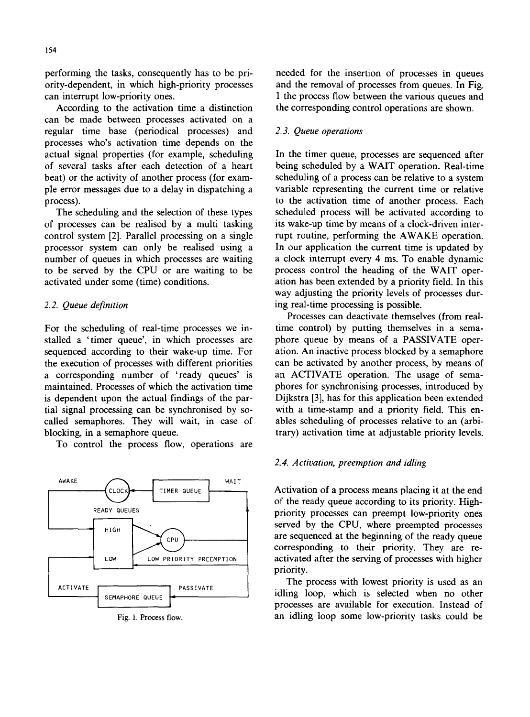performing the tasks, consequently has to be pri- needed for the insertion of processes in queues ority-dependent, in which high-priority processes and the removal of processes from queues. In Fig. can interrupt low-priority ones. 1 the process flow between the various queues and

can be made between processes activated on a regular time base (periodical processes) and *2.3. Queue operations*  processes who's activation time depends on the actual signal properties (for example, scheduling In the timer queue, processes are sequenced after of several tasks after each detection of a heart being scheduled by a WAIT operation. Real-time beat) or the activity of another process (for exam- scheduling of a process can be relative to a system ple error messages due to a delay in dispatching a variable representing the current time or relative process). to the activation time of another process. Each

of processes can be realised by a multi tasking its wake-up time by means of a clock-driven intercontrol system [2]. Parallel processing on a single rupt routine, performing the AWAKE operation. processor system can only be realised using a In our application the current time is updated by number of queues in which processes are waiting a clock interrupt every 4 ms. To enable dynamic to be served by the CPU or are waiting to be process control the heading of the WAIT operactivated under some (time) conditions. ation has been extended by a priority field. In this

stalled a 'timer queue', in which processes are phore queue by means of a PASSIVATE opersequenced according to their wake-up time. For ation. An inactive process blocked by a semaphore the execution of processes with different priorities can be activated by another process, by means of a corresponding number of 'ready queues' is an ACTIVATE operation. The usage of semamaintained. Processes of which the activation time phores for synchronising processes, introduced by is dependent upon the actual findings of the par- Dijkstra [3], has for this application been extended tial signal processing can be synchronised by so- with a time-stamp and a priority field. This encalled semaphores. They will wait, in case of ables scheduling of processes relative to an (arbiblocking, in a semaphore queue. trary) activation time at adjustable priority levels.

To control the process flow, operations are



According to the activation time a distinction the corresponding control operations are shown.

The scheduling and the selection of these types scheduled process will be activated according to way adjusting the priority levels of processes dur-*2.2. Queue definition* ing real-time processing is possible.

Processes can deactivate themselves (from real-For the scheduling of real-time processes we in-<br>time control) by putting themselves in a sema-

# *2.4. Activation, preemption and idling*

TIMER QUEUE  $\begin{bmatrix} 1 & 2 \end{bmatrix}$  Activation of a process means placing it at the end of the ready queue according to its priority. High-READY QUEUES priority processes can preempt low-priority ones  $\begin{array}{c|c}\n\hline\n\text{HIGH} & \text{S}\n\end{array}$  served by the CPU, where preempted processes  $I_{\text{cpl}}$  are sequenced at the beginning of the ready queue corresponding to their priority. They are re-  $\begin{bmatrix}$  LOW PRIORITY PREEMPTION  $\end{bmatrix}$  activated after the serving of processes with higher priority.

The process with lowest priority is used as an ACTIVATE PASSIVATE PASSIVATE in the process with lowest priority is used as an processes are available for execution. Instead of Fig. 1. Process flow. an idling loop some low-priority tasks could be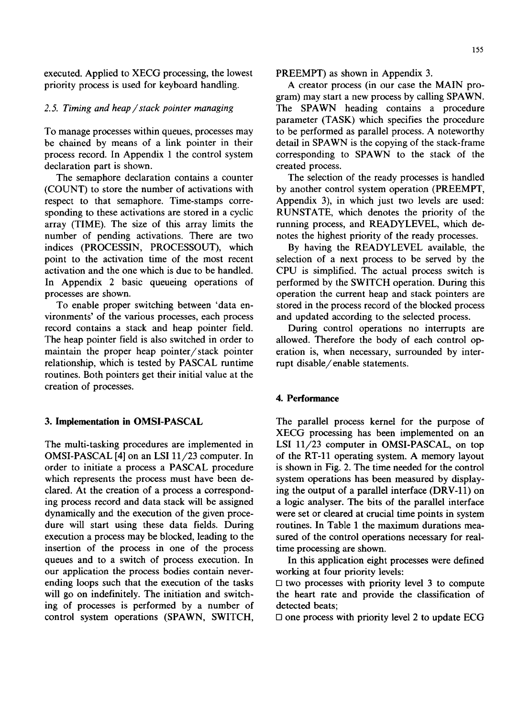executed. Applied to XECG processing, the lowest PREEMPT) as shown in Appendix 3. priority process is used for keyboard handling. A creator process (in our case the MAIN pro-

be chained by means of a link pointer in their detail in SPAWN is the copying of the stack-frame process record. In Appendix 1 the control system corresponding to SPAWN to the stack of the declaration part is shown. The created process.

respect to that semaphore. Time-stamps corresponding to these activations are stored in a cyclic RUNSTATE, which denotes the priority of the array (TIME). The size of this array limits the running process, and READYLEVEL, which denumber of pending activations. There are two notes the highest priority of the ready processes. indices (PROCESSIN, PROCESSOUT), which By having the READYLEVEL available, the point to the activation time of the most recent selection of a next process to be served by the activation and the one which is due to be handled. CPU is simplified. The actual process switch is In Appendix 2 basic queueing operations of performed by the SWITCH operation. During this processes are shown, operation the current heap and stack pointers are

vironments' of the various processes, each process and updated according to the selected process. record contains a stack and heap pointer field. During control operations no interrupts are<br>The heap pointer field is also switched in order to allowed. Therefore the body of each control opmaintain the proper heap pointer/stack pointer eration is, when necessary, surrounded by interrelationship, which is tested by PASCAL runtime rupt disable/enable statements. routines. Both pointers get their initial value at the creation of processes.

OMSI-PASCAL  $[4]$  on an LSI  $11/23$  computer. In of the RT-11 operating system. A memory layout order to initiate a process a PASCAL procedure is shown in Fig. 2. The time needed for the control which represents the process must have been de-<br>system operations has been measured by displayclared. At the creation of a process a correspond- ing the output of a parallel interface (DRV-11) on ing process record and data stack will be assigned a logic analyser. The bits of the parallel interface dynamically and the execution of the given proce- were set or cleared at crucial time points in system dure will start using these data fields. During routines. In Table 1 the maximum durations meaexecution a process may be blocked, leading to the sured of the control operations necessary for realinsertion of the process in one of the process time processing are shown. queues and to a switch of process execution. In In this application eight processes were defined our application the process bodies contain never- working at four priority levels: ending loops such that the execution of the tasks  $\Box$  two processes with priority level 3 to compute ing of processes is performed by a number of detected beats; control system operations (SPAWN, SWITCH,  $\Box$  one process with priority level 2 to update ECG

gram) may start a new process by calling SPAWN. 2.5. Timing and heap / stack pointer managing **The SPAWN** heading contains a procedure parameter (TASK) which specifies the procedure To manage processes within queues, processes may to be performed as parallel process. A noteworthy

The semaphore declaration contains a counter The selection of the ready processes is handled (COUNT) to store the number of activations with by another control system operation (PREEMPT, by another control system operation (PREEMPT,<br>Appendix 3), in which just two levels are used:

To enable proper switching between 'data en- stored in the process record of the blocked process

allowed. Therefore the body of each control op-

# **4. Performance**

3. Implementation in OMSI-PASCAL The parallel process kernel for the purpose of XECG processing has been implemented on an The multi-tasking procedures are implemented in LSI 11/23 computer in OMSI-PASCAL, on top

will go on indefinitely. The initiation and switch-<br>the heart rate and provide the classification of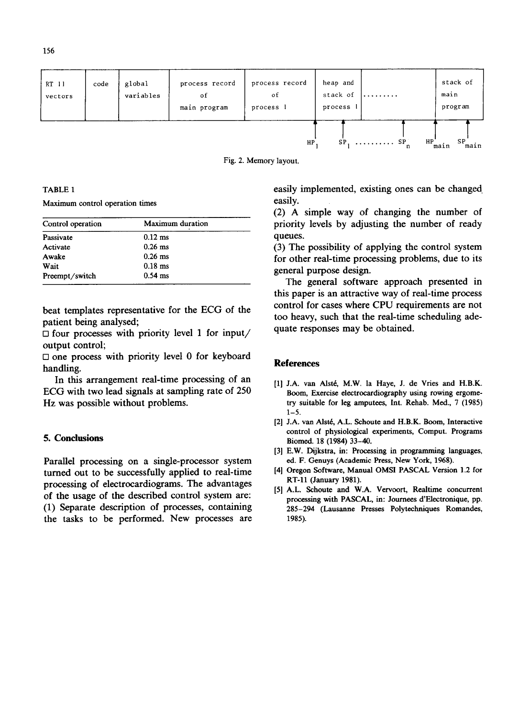| RT 11<br>vectors | code | global<br>variables | process record<br>of<br>main program | process record<br>οf<br>process | heap and<br>stack of<br>process | .                               | stack of<br>main<br>program |
|------------------|------|---------------------|--------------------------------------|---------------------------------|---------------------------------|---------------------------------|-----------------------------|
|                  |      |                     |                                      | HP                              | SP                              | HP<br>$\ldots \ldots \ldots$ SP | SP<br>main,<br>main         |



Maximum control operation times easily.

| Control operation | .<br>priority |                                   |  |
|-------------------|---------------|-----------------------------------|--|
| Passivate         | $0.12$ ms     | queues.                           |  |
| Activate          | $0.26$ ms     | $(3)$ The                         |  |
| Awake             | $0.26$ ms     | for othe<br>general<br><b>The</b> |  |
| Wait              | $0.18$ ms     |                                   |  |
| Preempt/switch    | $0.54$ ms     |                                   |  |

 $\Box$  four processes with priority level 1 for input/ output control;

 $\square$  one process with priority level 0 for keyboard handling. **References** 

In this arrangement real-time processing of an [1] J.A. van Alsté, M.W. la Haye, J. de Vries and H.B.K.<br>ECG with two lead signals at sampling rate of 250 Boom. Exercise electrocardiography using rowing ergome-Hz was possible without problems. try suitable for leg amputees, Int. Rehab. Med., 7 (1985)

Parallel processing on a single-processor system ed. F. Genuys (Academic Press, New York, 1968).<br>
turned out to be successfully annlied to real-time [4] Oregon Software, Manual OMSI PASCAL Version 1.2 for turned out to be successfully applied to real-time processing of electrocardiograms. The advantages [5] A.L. Schoute and W.A. Vervoort, Realtime concurrent of the usage of the described control system are:<br>
processing with PASCAL, in: Journees d'Electronique, pp.<br>
(1) Separate description of processes, containing<br>
285-294 (Lausanne Presses Polytechniques Romandes. the tasks to be performed. New processes are 1985).

TABLE 1 easily implemented, existing ones can be changed.

(2) A simple way of changing the number of priority levels by adjusting the number of ready

 $(3)$  The possibility of applying the control system for other real-time processing problems, due to its general purpose design.

The general software approach presented in this paper is an attractive way of real-time process beat templates representative for the ECG of the control for cases where CPU requirements are not patient being analysed;<br> $\Box$  for incurrent being analysed;<br> $\Box$  for incurrent being added.

- Boom, Exercise electrocardiography using rowing ergome- $1 - 5$ .
- [2] J.A. van Alsté, A.L. Schoute and H.B.K. Boom, Interactive control of physiological experiments, Comput. Programs 5. Conclusions Biomed. 18 (1984) 33-40.
	- [3] E.W. Dijkstra, in: Processing in programming languages,
	- RT-11 (January 1981).
	- 285-294 (Lausanne Presses Polytechniques Romandes,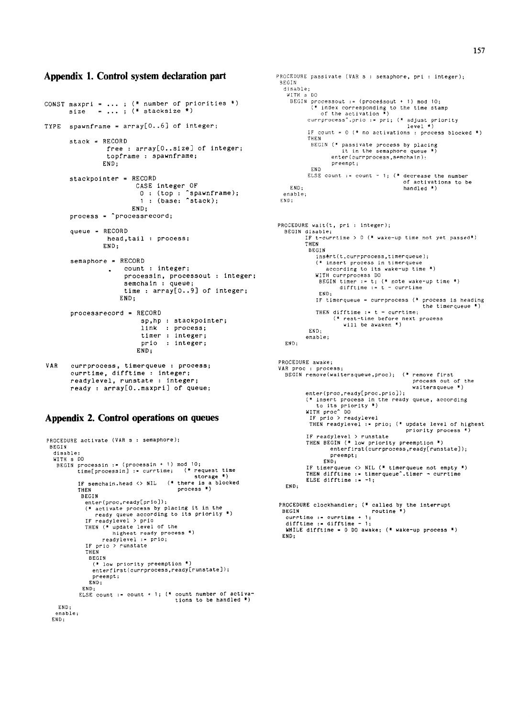### Appendix 1. Control system declaration part

```
CONST maxpri = ...; (* number of priorities *)
            = ...; (* stacksize *)
      size
TYPE spawnframe = array[0..6] of integer;
      stack =RECORD
               free: array[0..size] of integer;
                topframe : spawnframe;
               END:stackpointer = RECORD
                       CASE integer OF<br>0 : (top : ^spawnframe);<br>1 : (base: ^stack);
                      END;
      process = \intprocessrecord;
      aueue = RECORDhead, tail : process;
               END;
      semaphore = RECORD. count : integer;
                    processin, processout : integer;
                    semchain : queue:
                    time : array[0..9] of integer;
                   END:
      process record = RECORDsp, hp : stackpointer;
                        link : process;
                        \times integer;
                        prio : integer:
                       END:VAR
      currprocess, timerqueue : process;
      currtime, difftime : integer;
      readylevel, runstate : integer;
      ready : array[0. maxpri] of queue;
```
### Appendix 2. Control operations on queues

```
PROCEDURE activate (VAR s : semaphore);
  BEGIN
   disable:
    WITH s DO
     HIM SUCRET SUPPOSES TO THE SUPPOSE OF THE SUPPOSE SUPPOSE THE SUPPOSE OF THE SUPPOSE THE SUPPOSE SUPPOSE SUPPOSE SUPPOSE SUPPOSE SUPPOSE SUPPOSE SUPPOSE SUPPOSE SUPPOSE SUPPOSE SUPPOSE SUPPOSE SUPPOSE SUPPOSE SUPPOSE SUPPO
                 \frac{1}{2} is to rage \frac{1}{2}<br>IF semchain.head <> NIL (* there is a blocked
                                                                        process *)
                 THEN
                  BEGIN
                     enter(proc,ready[prio]);
                    enter (procincaty problem)<br>
(* activate process by placing it in the<br>
ready queue according to its priority *)<br>
IF ready level of the<br>
mighest ready process *)<br>
THEN (* update level of the<br>
mighest ready process *)
                     readylevel := prio;<br>IF prio > runstate
                     THEN
                       BEGIN
                         (* low priority preemption *)enterfirst(currprocess, ready[runstate]);
                         preempt;
                       END:END;
                  ELSE count := count + 1; (* count number of activa-
                                                                       tions to be handled *)END:
    enable:
   END;
```

```
PROCEDURE passivate (VAR s : semaphore, pri : integer);
 BEGIN
  disable;
    MITH & DO
     BEGIN processout := (processout + 1) mod 10;
           (* index corresponding to the time stamp<br>of the activation *)<br>currprocess<sup>2</sup>.prio := pri; (* adjust priority
                                                level *)
            IF count = 0 (* no activations : process blocked *)
            THEN
            HEN<br>BEGIN (* passivate process by placing<br>it in the semaphore queue *)
                     enter (currprocess, semchain);
                     preempt:
             FND
            ELSE count := count - 1; (* decrease the number
                                                of activations to be
    FND+handled *)
   enable;END:
PROCEDURE wait(t, pri : integer);
   BEGIN disable;<br>BEGIN disable;<br>IF t-currtime > 0 (* wake-up time not yet passed*)
           THEN
            BEGTN
              insert(t,currprocess,timerqueue);
               (* insert process in timerqueue
              according to its wake-up time *)<br>WITH currprocess DO
               BEGIN timer := t; (* note wake-up time *)<br>difftime := t - currtime
                END:IF timerqueue = currprocess (* process is heading
                                                      the timerqueue *
              the til<br>THEN difftime := t - currtime;<br>Frest-time before next process) .<br>Short time before next process)
                        will be awaken *)END:
           enable;
   END:
PROCEDURE awake;
VAR proc : process;
   BEGIN remove(waitersqueue, proc); (* remove first
                                                   process out of the
                                                    .<br>waitersqueue *)
           enter(proc.ready[proc.priol):
           (* insert process in the ready queue, according
           to its priority *)<br>WITH proc DO<br>IF prio > readylevel
            THEN readylevel := prio; (* update level of highest
                                                priority process *)
           IF readylevel > runstate<br>THEN BEGIN (* low priority preemption *)
                   enterfirst(currprocess, ready[runstate]);
                    preempt:
                  END:IF timerqueue <> NIL (* timerqueue not empty *)<br>THEN difftime := timerqueue^.timer - currtime
           ELSE difftime := -1;
   END:PROCEDURE clockhandler; (* called by the interrupt BEGIN routine *)
   currtime := currtime + 1;
   difftime := difftime - 1;WHILE difftime = 0 DO awake; (* wake-up process *)
```
 $END:$